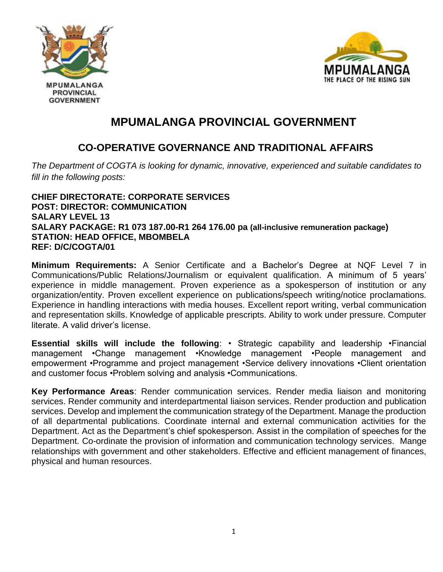



## **MPUMALANGA PROVINCIAL GOVERNMENT**

## **CO-OPERATIVE GOVERNANCE AND TRADITIONAL AFFAIRS**

*The Department of COGTA is looking for dynamic, innovative, experienced and suitable candidates to fill in the following posts:*

**CHIEF DIRECTORATE: CORPORATE SERVICES POST: DIRECTOR: COMMUNICATION SALARY LEVEL 13 SALARY PACKAGE: R1 073 187.00-R1 264 176.00 pa (all-inclusive remuneration package) STATION: HEAD OFFICE, MBOMBELA REF: D/C/COGTA/01**

**Minimum Requirements:** A Senior Certificate and a Bachelor's Degree at NQF Level 7 in Communications/Public Relations/Journalism or equivalent qualification. A minimum of 5 years' experience in middle management. Proven experience as a spokesperson of institution or any organization/entity. Proven excellent experience on publications/speech writing/notice proclamations. Experience in handling interactions with media houses. Excellent report writing, verbal communication and representation skills. Knowledge of applicable prescripts. Ability to work under pressure. Computer literate. A valid driver's license.

**Essential skills will include the following**: • Strategic capability and leadership •Financial management •Change management •Knowledge management •People management and empowerment •Programme and project management •Service delivery innovations •Client orientation and customer focus •Problem solving and analysis •Communications.

**Key Performance Areas**: Render communication services. Render media liaison and monitoring services. Render community and interdepartmental liaison services. Render production and publication services. Develop and implement the communication strategy of the Department. Manage the production of all departmental publications. Coordinate internal and external communication activities for the Department. Act as the Department's chief spokesperson. Assist in the compilation of speeches for the Department. Co-ordinate the provision of information and communication technology services. Mange relationships with government and other stakeholders. Effective and efficient management of finances, physical and human resources.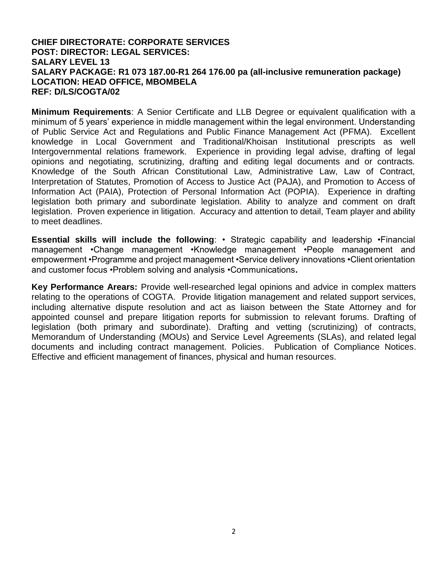#### **CHIEF DIRECTORATE: CORPORATE SERVICES POST: DIRECTOR: LEGAL SERVICES: SALARY LEVEL 13 SALARY PACKAGE: R1 073 187.00-R1 264 176.00 pa (all-inclusive remuneration package) LOCATION: HEAD OFFICE, MBOMBELA REF: D/LS/COGTA/02**

**Minimum Requirements**: A Senior Certificate and LLB Degree or equivalent qualification with a minimum of 5 years' experience in middle management within the legal environment. Understanding of Public Service Act and Regulations and Public Finance Management Act (PFMA). Excellent knowledge in Local Government and Traditional/Khoisan Institutional prescripts as well Intergovernmental relations framework. Experience in providing legal advise, drafting of legal opinions and negotiating, scrutinizing, drafting and editing legal documents and or contracts. Knowledge of the South African Constitutional Law, Administrative Law, Law of Contract, Interpretation of Statutes, Promotion of Access to Justice Act (PAJA), and Promotion to Access of Information Act (PAIA), Protection of Personal Information Act (POPIA). Experience in drafting legislation both primary and subordinate legislation. Ability to analyze and comment on draft legislation. Proven experience in litigation. Accuracy and attention to detail, Team player and ability to meet deadlines.

**Essential skills will include the following**: • Strategic capability and leadership •Financial management •Change management •Knowledge management •People management and empowerment •Programme and project management •Service delivery innovations •Client orientation and customer focus •Problem solving and analysis •Communications**.**

**Key Performance Arears:** Provide well-researched legal opinions and advice in complex matters relating to the operations of COGTA. Provide litigation management and related support services, including alternative dispute resolution and act as liaison between the State Attorney and for appointed counsel and prepare litigation reports for submission to relevant forums. Drafting of legislation (both primary and subordinate). Drafting and vetting (scrutinizing) of contracts, Memorandum of Understanding (MOUs) and Service Level Agreements (SLAs), and related legal documents and including contract management. Policies. Publication of Compliance Notices. Effective and efficient management of finances, physical and human resources.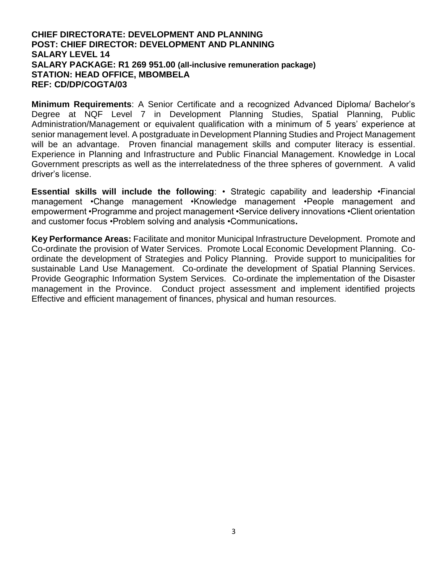#### **CHIEF DIRECTORATE: DEVELOPMENT AND PLANNING POST: CHIEF DIRECTOR: DEVELOPMENT AND PLANNING SALARY LEVEL 14 SALARY PACKAGE: R1 269 951.00 (all-inclusive remuneration package) STATION: HEAD OFFICE, MBOMBELA REF: CD/DP/COGTA/03**

**Minimum Requirements**: A Senior Certificate and a recognized Advanced Diploma/ Bachelor's Degree at NQF Level 7 in Development Planning Studies, Spatial Planning, Public Administration/Management or equivalent qualification with a minimum of 5 years' experience at senior management level. A postgraduate in Development Planning Studies and Project Management will be an advantage. Proven financial management skills and computer literacy is essential. Experience in Planning and Infrastructure and Public Financial Management. Knowledge in Local Government prescripts as well as the interrelatedness of the three spheres of government. A valid driver's license.

**Essential skills will include the following**: • Strategic capability and leadership •Financial management •Change management •Knowledge management •People management and empowerment •Programme and project management •Service delivery innovations •Client orientation and customer focus •Problem solving and analysis •Communications**.**

**Key Performance Areas:** Facilitate and monitor Municipal Infrastructure Development. Promote and Co-ordinate the provision of Water Services. Promote Local Economic Development Planning. Coordinate the development of Strategies and Policy Planning. Provide support to municipalities for sustainable Land Use Management. Co-ordinate the development of Spatial Planning Services. Provide Geographic Information System Services. Co-ordinate the implementation of the Disaster management in the Province. Conduct project assessment and implement identified projects Effective and efficient management of finances, physical and human resources.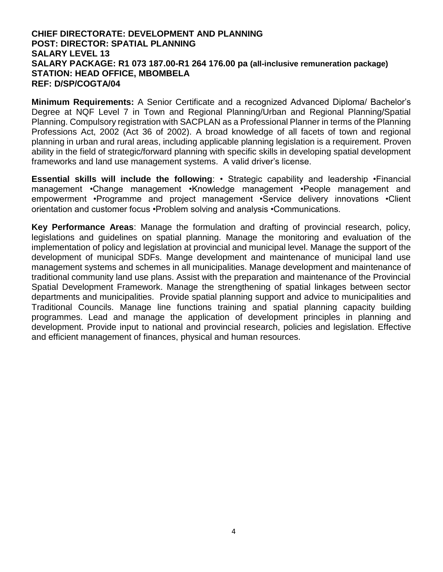#### **CHIEF DIRECTORATE: DEVELOPMENT AND PLANNING POST: DIRECTOR: SPATIAL PLANNING SALARY LEVEL 13 SALARY PACKAGE: R1 073 187.00-R1 264 176.00 pa (all-inclusive remuneration package) STATION: HEAD OFFICE, MBOMBELA REF: D/SP/COGTA/04**

**Minimum Requirements:** A Senior Certificate and a recognized Advanced Diploma/ Bachelor's Degree at NQF Level 7 in Town and Regional Planning/Urban and Regional Planning/Spatial Planning. Compulsory registration with SACPLAN as a Professional Planner in terms of the Planning Professions Act, 2002 (Act 36 of 2002). A broad knowledge of all facets of town and regional planning in urban and rural areas, including applicable planning legislation is a requirement. Proven ability in the field of strategic/forward planning with specific skills in developing spatial development frameworks and land use management systems. A valid driver's license.

**Essential skills will include the following**: • Strategic capability and leadership •Financial management •Change management •Knowledge management •People management and empowerment •Programme and project management •Service delivery innovations •Client orientation and customer focus •Problem solving and analysis •Communications.

**Key Performance Areas**: Manage the formulation and drafting of provincial research, policy, legislations and guidelines on spatial planning. Manage the monitoring and evaluation of the implementation of policy and legislation at provincial and municipal level. Manage the support of the development of municipal SDFs. Mange development and maintenance of municipal land use management systems and schemes in all municipalities. Manage development and maintenance of traditional community land use plans. Assist with the preparation and maintenance of the Provincial Spatial Development Framework. Manage the strengthening of spatial linkages between sector departments and municipalities. Provide spatial planning support and advice to municipalities and Traditional Councils. Manage line functions training and spatial planning capacity building programmes. Lead and manage the application of development principles in planning and development. Provide input to national and provincial research, policies and legislation. Effective and efficient management of finances, physical and human resources.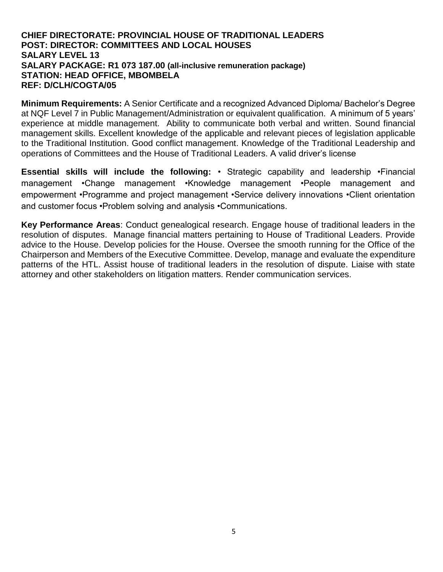#### **CHIEF DIRECTORATE: PROVINCIAL HOUSE OF TRADITIONAL LEADERS POST: DIRECTOR: COMMITTEES AND LOCAL HOUSES SALARY LEVEL 13 SALARY PACKAGE: R1 073 187.00 (all-inclusive remuneration package) STATION: HEAD OFFICE, MBOMBELA REF: D/CLH/COGTA/05**

**Minimum Requirements:** A Senior Certificate and a recognized Advanced Diploma/ Bachelor's Degree at NQF Level 7 in Public Management/Administration or equivalent qualification. A minimum of 5 years' experience at middle management. Ability to communicate both verbal and written. Sound financial management skills. Excellent knowledge of the applicable and relevant pieces of legislation applicable to the Traditional Institution. Good conflict management. Knowledge of the Traditional Leadership and operations of Committees and the House of Traditional Leaders. A valid driver's license

**Essential skills will include the following:** • Strategic capability and leadership •Financial management •Change management •Knowledge management •People management and empowerment •Programme and project management •Service delivery innovations •Client orientation and customer focus •Problem solving and analysis •Communications.

**Key Performance Areas**: Conduct genealogical research. Engage house of traditional leaders in the resolution of disputes. Manage financial matters pertaining to House of Traditional Leaders. Provide advice to the House. Develop policies for the House. Oversee the smooth running for the Office of the Chairperson and Members of the Executive Committee. Develop, manage and evaluate the expenditure patterns of the HTL. Assist house of traditional leaders in the resolution of dispute. Liaise with state attorney and other stakeholders on litigation matters. Render communication services.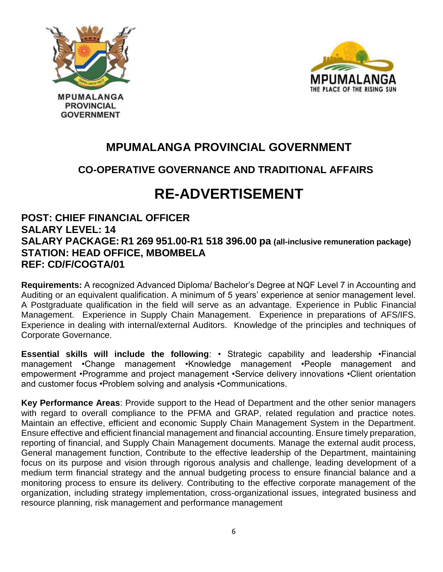

**PROVINCIAL GOVERNMENT** 



## **MPUMALANGA PROVINCIAL GOVERNMENT**

### **CO-OPERATIVE GOVERNANCE AND TRADITIONAL AFFAIRS**

# **RE-ADVERTISEMENT**

### **POST: CHIEF FINANCIAL OFFICER SALARY LEVEL: 14 SALARY PACKAGE: R1 269 951.00-R1 518 396.00 pa (all-inclusive remuneration package) STATION: HEAD OFFICE, MBOMBELA REF: CD/F/COGTA/01**

**Requirements:** A recognized Advanced Diploma/ Bachelor's Degree at NQF Level 7 in Accounting and Auditing or an equivalent qualification. A minimum of 5 years' experience at senior management level. A Postgraduate qualification in the field will serve as an advantage. Experience in Public Financial Management. Experience in Supply Chain Management. Experience in preparations of AFS/IFS. Experience in dealing with internal/external Auditors. Knowledge of the principles and techniques of Corporate Governance.

**Essential skills will include the following**: • Strategic capability and leadership •Financial management •Change management •Knowledge management •People management and empowerment •Programme and project management •Service delivery innovations •Client orientation and customer focus •Problem solving and analysis •Communications.

**Key Performance Areas**: Provide support to the Head of Department and the other senior managers with regard to overall compliance to the PFMA and GRAP, related regulation and practice notes. Maintain an effective, efficient and economic Supply Chain Management System in the Department. Ensure effective and efficient financial management and financial accounting. Ensure timely preparation, reporting of financial, and Supply Chain Management documents. Manage the external audit process, General management function, Contribute to the effective leadership of the Department, maintaining focus on its purpose and vision through rigorous analysis and challenge, leading development of a medium term financial strategy and the annual budgeting process to ensure financial balance and a monitoring process to ensure its delivery. Contributing to the effective corporate management of the organization, including strategy implementation, cross-organizational issues, integrated business and resource planning, risk management and performance management